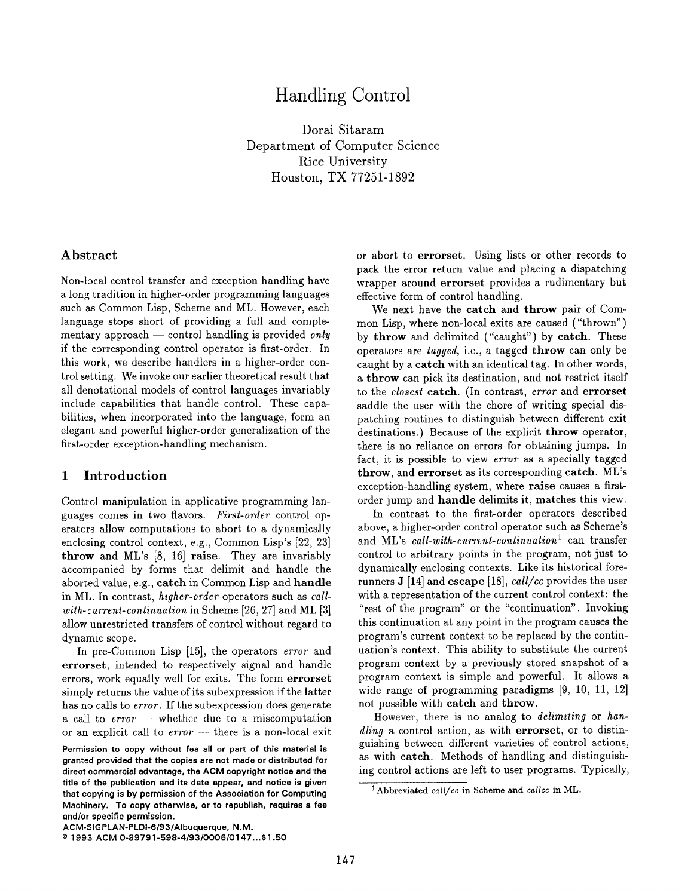# Handling Control

Dorai Sitaram Department of Computer Science Rice University Houston, TX 77251-1892

## Abstract

Non-local control transfer and exception handling have a long tradition in higher-order programming languages such as Common Lisp, Scheme and ML. However, each language stops short of providing a full and complementary approach — control handling is provided only if the corresponding control operator is first-order. In this work, we describe handlers in a higher-order control setting. We invoke our earlier theoretical result that all denotational models of control languages invariably include capabilities that handle control. These capabilities, when incorporated into the language, form an elegant and powerful higher-order generalization of the first-order exception-handling mechanism.

## 1 Introduction

Control manipulation in applicative programming languages comes in two flavors. First-order control operators allow computations to abort to a dynamically enclosing control context, e.g., Common Lisp's [22, 23] throw and ML's [8, 16] raise. They are invariably accompanied by forms that delimit and handle the aborted value, e.g., catch in Common Lisp and handle in ML. In contrast, htgher-order operators such as callwith-current-continuation in Scheme [26, 27] and ML [3] allow unrestricted transfers of control without regard to dynamic scope.

In pre-Common Lisp  $[15]$ , the operators *error* and errorset, intended to respectively signal and handle errors, work equally well for exits. The form errorset simply returns the value of its subexpression if the latter has no calls to *error*. If the subexpression does generate a call to  $error$  — whether due to a miscomputation or an explicit call to error — there is a non-local exit or abort to errorset. Using lists or other records to pack the error return value and placing a dispatching wrapper around errorset provides a rudimentary but effective form of control handling.

We next have the catch and throw pair of Common Lisp, where non-local exits are caused ("thrown") by throw and delimited ("caught") by catch. These operators are tagged, i.e., a tagged throw can only be caught by a catch with an identical tag. In other words, a throw can pick its destination, and not restrict itself to the *closest* catch. (In contrast, error and errorset saddle the user with the chore of writing special dispatching routines to distinguish between different exit destinations.) Because of the explicit throw operator, there is no reliance on errors for obtaining jumps. In fact, it is possible to view error as a specially tagged throw, and errorset as its corresponding catch. ML's exception-handling system, where raise causes a firstorder jump and handle delimits it, matches this view.

In contrast to the first-order operators described above, a higher-order control operator such as Scheme's and ML's call-with-current-continuation<sup>1</sup> can transfer control to arbitrary points in the program, not just to dynamically enclosing contexts. Like its historical forerunners J [14] and escape [18],  $call/cc$  provides the user with a representation of the current control context: the "rest of the program" or the "continuation". Invoking this continuation at any point in the program causes the program's current context to be replaced by the continuation's context. This ability to substitute the current program context by a previously stored snapshot of a program context is simple and powerful. It allows a wide range of programming paradigms [9, 10, 11, 12] not possible with catch and throw.

However, there is no analog to *delimiting* or han $d\ell$ ing a control action, as with errorset, or to distinguishing between different varieties of control actions, as with catch. Methods of handling and distinguishing control actions are left to user programs. Typically,

Permission to copy without fee all or part of this material is granted provided that the copies are not made or distributed for direct commercial advantage, the ACM copyright notice and the title of the publication and its data appear, and notice is givan that copying is by permission of the Association for Computing Machinery. To copy otherwise, or to republish, requires a fee and/or spacific permission.

 $1$ Abbreviated call/cc in Scheme and callcc in ML.

ACM-SlGPLAN-PLDl-6 /93/Albuquerque, N.M.

a 1993 ACM 0-89791 -598 -4/93 /0006 /0147 ...\$1 .50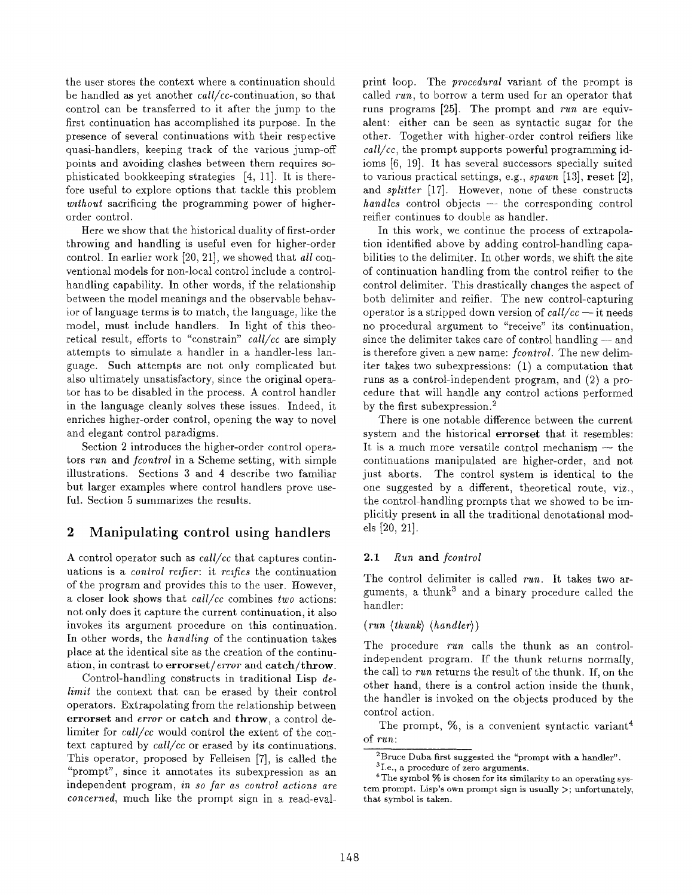the user stores the context where a continuation should be handled as yet another call/cc-continuation, so that control can be transferred to it after the jump to the first continuation has accomplished its purpose. In the presence of several continuations with their respective quasi-handlers, keeping track of the various jump-off points and avoiding clashes between them requires sophisticated bookkeeping strategies [4, 11]. It is therefore useful to explore options that tackle this problem without sacrificing the programming power of higherorder control.

Here we show that the historical duality of first-order throwing and handling is useful even for higher-order control. In earlier work [20, 21], we showed that all conventional models for non-local control include a controlhandling capability. In other words, if the relationship between the model meanings and the observable behavior of language terms is to match, the language, like the model, must include handlers. In light of this theoretical result, efforts to "constrain"  $call/cc$  are simply attempts to simulate a handler in a handler-less language. Such attempts are not only complicated but also ultimately unsatisfactory, since the original operator has to be disabled in the process. A control handler in the language cleanly solves these issues. Indeed, it enriches higher-order control, opening the way to novel and elegant control paradigms.

Section 2 introduces the higher-order control operators run and fcontrol in a Scheme setting, with simple illustrations. Sections 3 and 4 describe two familiar but larger examples where control handlers prove useful. Section 5 summarizes the results.

## 2 Manipulating control using handlers

A control operator such as  $call/cc$  that captures continuations is a *control reifier*: it *reifies* the continuation of the program and provides this to the user. However, a closer look shows that  $call/cc$  combines two actions: not only does it capture the current continuation, it also invokes its argument procedure on this continuation. In other words, the handling of the continuation takes place at the identical site as the creation of the continuation, in contrast to  $errorset/error$  and  $catch/throw$ .

Control-handling constructs in traditional Lisp delimit the context that can be erased by their control operators. Extrapolating from the relationship between errorset and *error* or catch and throw, a control delimiter for call/cc would control the extent of the context captured by call/cc or erased by its continuations. This operator, proposed by Felleisen [7], is called the "prompt", since it annotates its subexpression as an independent program, in so far as control actions are concerned, much like the prompt sign in a read-evalprint loop. The *procedural* variant of the prompt is called run, to borrow a term used for an operator that runs programs [25]. The prompt and run are equivalent: either can be seen as syntactic sugar for the other. Together with higher-order control reifiers like  $call/cc$ , the prompt supports powerful programming idioms [6, 19]. It has several successors specially suited to various practical settings, e.g.,  $\text{span}$  [13], reset [2], and splitter [17]. However, none of these constructs bandies control objects — the corresponding control reifier continues to double as handler.

In this work, we continue the process of extrapolation identified above by adding control-handling capabilities to the delimiter. In other words, we shift the site of continuation handling from the control reifier to the control delimiter. This drastically changes the aspect of both delimiter and reifier. The new control-capturing operator is a stripped down version of  $\frac{call}{cc}$  — it needs no procedural argument to "receive" its continuation, since the delimiter takes care of control handling — and is therefore given a new name: fcontrol. The new delimiter takes two subexpressions: (1) a computation that runs as a control-independent program, and (2) a procedure that will handle any control actions performed by the first subexpression.<sup>2</sup>

There is one notable difference between the current system and the historical errorset that it resembles: It is a much more versatile control mechanism — the continuations manipulated are higher-order, and not just aborts. The control system is identical to the one suggested by a different, theoretical route, viz., the control-handling prompts that we showed to be implicitly present in all the traditional denotational models [20, 21].

## 2.1 Run and fcontrol

The control delimiter is called  $run$ . It takes two arguments, a thunk<sup>3</sup> and a binary procedure called the handler:

## $(run \ \langle thunk \rangle \ \langle handler \rangle)$

The procedure run calls the thunk as an controlindependent program. If the thunk returns normally, the call to run returns the result of the thunk. If, on the other hand, there is a control action inside the thunk, the handler is invoked on the objects produced by the control action.

The prompt,  $\%$ , is a convenient syntactic variant<sup>4</sup> of run:

<sup>2</sup>Bruce Duba first suggested the "prompt with a handler".

 $3$ I.e., a procedure of zero arguments.

 $4$ The symbol  $%$  is chosen for its similarity to an operating system prompt. Lisp's own prompt sign is usually  $>$ ; unfortunately, that symbol is taken.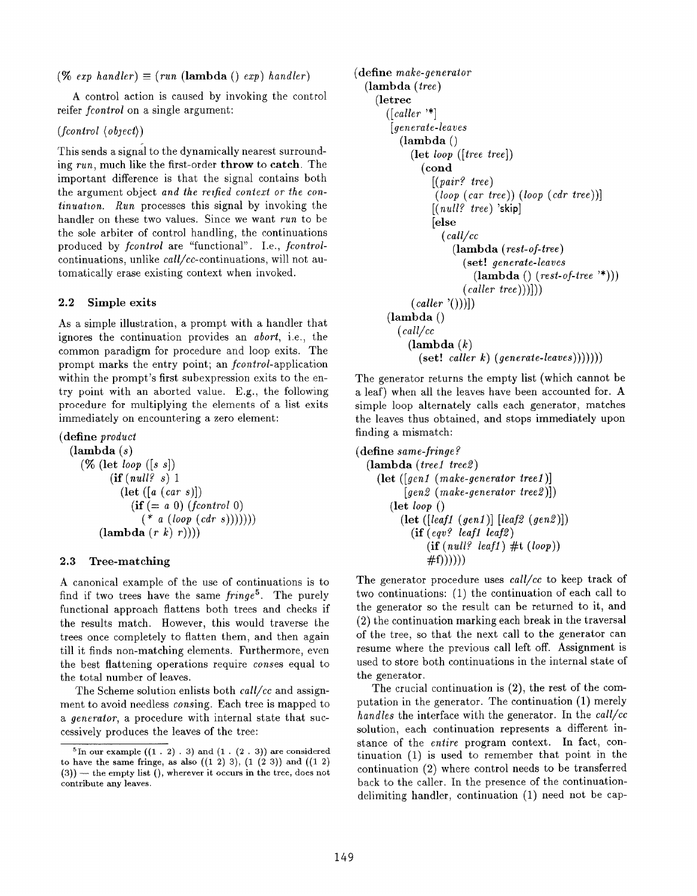(% exp handler)  $\equiv$  (run (lambda () exp) handler)

A control action is caused by invoking the control reifer *fcontrol* on a single argument:

(fcontrol (object))

This sends a signal to the dynamically nearest surrounding run, much like the first-order throw to catch. The important difference is that the signal contains both the argument object and the reified context or the continuation. Run processes this signal by invoking the handler on these two values. Since we want run to be the sole arbiter of control handling, the continuations produced by fcontrol are "functional". I.e., fcontrolcontinuations, unlike call/cc-continuations, will not automatically erase existing context when invoked.

#### 2.2 Simple exits

As a simple illustration, a prompt with a handler that ignores the continuation provides an abort, i.e., the common paradigm for procedure and loop exits. The prompt marks the entry point; an *fcontrol*-application within the prompt's first subexpression exits to the entry point with an aborted value. E.g., the following procedure for multiplying the elements of a list exits immediately on encountering a zero element:

(define product  $(\lambda)$  $(\%$  (let loop  $(s s))$  $(ii (null? s) 1)$  $(\text{let } ([a (car s)])$  $(i\mathbf{f} (= a 0) (frontrol 0)$  $(* a (loop (cdr s))))))$  $(\textbf{lambda}(r k) r)))$ 

#### 2.3 Tree-matching

A canonical example of the use of continuations is to find if two trees have the same  $fringe<sup>5</sup>$ . The purely functional approach flattens both trees and checks if the results match. However, this would traverse the trees once completely to flatten them, and then again till it finds non-matching elements. Furthermore, even the best flattening operations require conses equal to the total number of leaves.

The Scheme solution enlists both  $call/cc$  and assignment to avoid needless *consing*. Each tree is mapped to a generator, a procedure with internal state that successively produces the leaves of the tree:

```
(define make-generator
  (lambda (tree)
    (letrec
       ([caller \text{ '*}][generate-leaves
          (lambda ()
            (let ioop ([tree tree])
              (cond
                 [(pair? tree)
                 ((loop (car tree)) (loop (cdr tree)))[(null? tree)'skip]
                 [else
                   (call/cc
                     (lambda (rest-of-tree)
                       (set! generate-leaves
                          (lambda () (rest-of-tree '*)))(caller \ tree))))(caller'()))](lambda ()
         (call/cc
           (\textbf{lambda}(k))(set! \; caller \; k) \; (generate-leaves))))))
```
The generator returns the empty list (which cannot be a leaf) when all the leaves have been accounted for. A simple loop alternately calls each generator, matches the leaves thus obtained, and stops immediately upon finding a mismatch:

```
(define same-fringe?
  (\textbf{lambda} (tree1 \text{ tree}2))(let ([genl (make-generator treel)]
           [gen2 (make-generation tree2)])(\text{let } loop))(let ([leaf1 (gen1)] [leaf2 (gen2)])
            (if (eqv? leaf1 leaf2)(ii (null? leaf1) # t (loop))#f))))))
```
The generator procedure uses call/cc to keep track of two continuations: (1) the continuation of each call to the generator so the result can be returned to it, and (2) the continuation marking each break in the traversal of the tree, so that the next call to the generator can resume where the previous call left off. Assignment is used to store both continuations in the internal state of the generator.

The crucial continuation is (2), the rest of the computation in the generator. The continuation (1) merely handles the interface with the generator. In the call/cc solution, each continuation represents a different instance of the entire program context. In fact, continuation (1) is used to remember that point in the continuation (2) where control needs to be transferred back to the caller. In the presence of the continuationdelimiting handler, continuation (1) need not be cap-

 $5\text{In our example } ((1: 2): 3) \text{ and } (1:(2:3)) \text{ are considered}$ to have the same fringe, as also  $((1 2) 3)$ ,  $(1 (2 3))$  and  $((1 2)$ (3)) — the empty list (), wherever it occurs in the tree, does not contribute any leaves.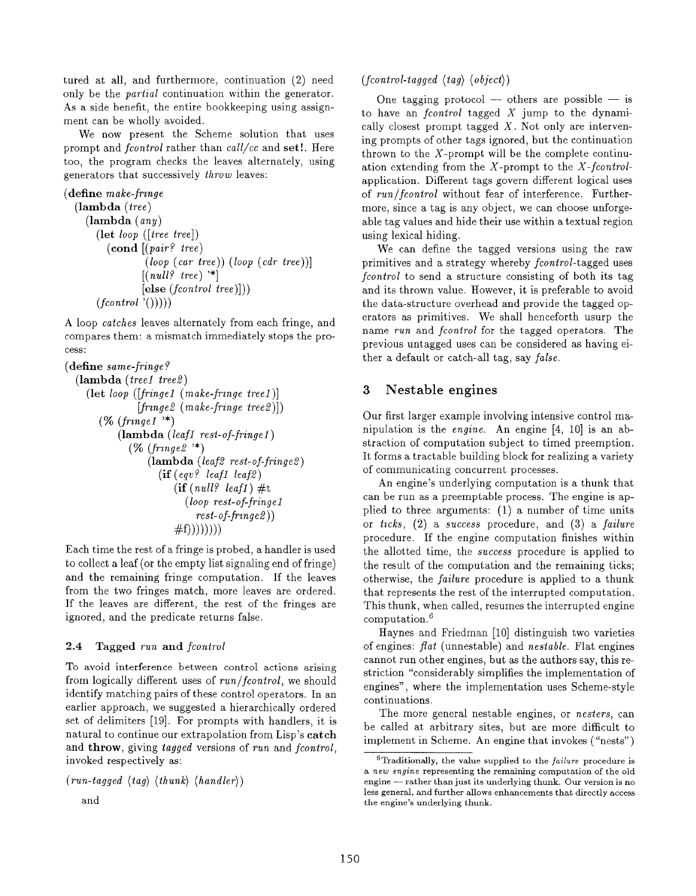tured at all, and furthermore, continuation (2) need only be the partial continuation within the generator. As a side benefit, the entire bookkeeping using assignment can be wholly avoided.

We now present the Scheme solution that uses prompt and *fcontrol* rather than *call/cc* and **set!**. Here too, the program checks the leaves alternately, using generators that successively throw leaves:

```
(define make-frame
```

```
(lambda (tree)
   (lambda (any)
      (let loop
([tree tree])
        \left( \textbf{cond} \right) [( pair? tree
      (fcontrol(\prime)))(ioop (car tree)) (loop (cdr tree))]
                 [(null? tree) '*]
                 [else (fontrol tree)]))
```
A loop catches leaves alternately from each fringe, and compares them: a mismatch immediately stops the process:

```
(define same-fringe ?
```

```
(lambda (treel tree2)
   (\text{let } loop \text{ } (fringe1 \text{ } (make-frame tree1))[fringe2 (make-fringe tree2)])(\% (fringe1 \n<sup>*</sup>)(lambda (leaf1 rest-of-frame1))(\% (fringe 2 <sup>'*</sup>)
                     (\textbf{lambda} \; (leaf2 \; rest\text{-}of\text{-}fringe2))(\textbf{if} (eqv)? leaf1 leaf2)
                             \left( \text{if} \left( \text{null} \right) leaf1) #t
                                (loop \ rest-of-fringe 1)rest-of-frmge2))
                             #f))))))
```
Each time the rest of a fringe is probed, a handler is used to collect a leaf (or the empty list signaling end of fringe) and the remaining fringe computation. If the leaves from the two fringes match, more leaves are ordered. If the leaves are different, the rest of the fringes are ignored, and the predicate returns false.

## 2.4 Tagged run and fcontrol

To avoid interference between control actions arising from logically different uses of run/fcontrol, we should identify matching pairs of these control operators. In an earlier approach, we suggested a hierarchically ordered set of delimiters [19]. For prompts with handlers, it is natural to continue our extrapolation from Lisp's catch and throw, giving tagged versions of run and fcontrol, invoked respectively as:

```
(run-tagged \langle tag \rangle \langle thunk \rangle \langle handler \rangle)
```

```
and
```
 $(fcontrol-tagged \langle tag \rangle \langle object \rangle)$ 

One tagging protocol — others are possible — is to have an *fcontrol* tagged  $X$  jump to the dynamically closest prompt tagged  $X$ . Not only are intervening prompts of other tags ignored, but the continuation thrown to the  $X$ -prompt will be the complete continuation extending from the  $X$ -prompt to the  $X$ -fcontrolapplication. Different tags govern different logical uses of run/fcontrol without fear of interference. Furthermore, since a tag is any object, we can choose unforgeable tag values and hide their use within a textual region using lexical hiding.

We can define the tagged versions using the raw primitives and a strategy whereby *fcontrol*-tagged uses fcontrol to send a structure consisting of both its tag and its thrown value. However, it is preferable to avoid the data-structure overhead and provide the tagged operators as primitives. We shall henceforth usurp the name run and fcontrol for the tagged operators. The previous untagged uses can be considered as having either a default or catch-all tag, say false.

## 3 Nestable engines

Our first larger example involving intensive control manipulation is the engine. An engine [4, 10] is an abstraction of computation subject to timed preemption. It forms a tractable building block for realizing a variety of communicating concurrent processes.

An engine's underlying computation is a thunk that can be run as a preemptable process. The engine is applied to three arguments: (1) a number of time units or  $ticks$ ,  $(2)$  a success procedure, and  $(3)$  a failure procedure. If the engine computation finishes within the allotted time, the success procedure is applied to the result of the computation and the remaining ticks; otherwise, the failure procedure is applied to a thunk that represents the rest of the interrupted computation. This thunk, when called, resumes the interrupted engine computation. $6$ 

Haynes and Friedman [10] distinguish two varieties of engines:  $flat$  (unnestable) and nestable. Flat engines cannot run other engines, but as the authors say, this restriction "considerably simplifies the implementation of engines", where the implementation uses Scheme-style continuations.

The more general nestable engines, or *nesters*, can be called at arbitrary sites, but are more difficult to implement in Scheme. An engine that invokes ("nests")

 $6$ Traditionally, the value supplied to the  $failure$  procedure is a new engine representing the remaining computation of the old engine — rather than just its underlying thunk. Our version is no less general, and further allows enhancements that directly access the engine's underlying thunk.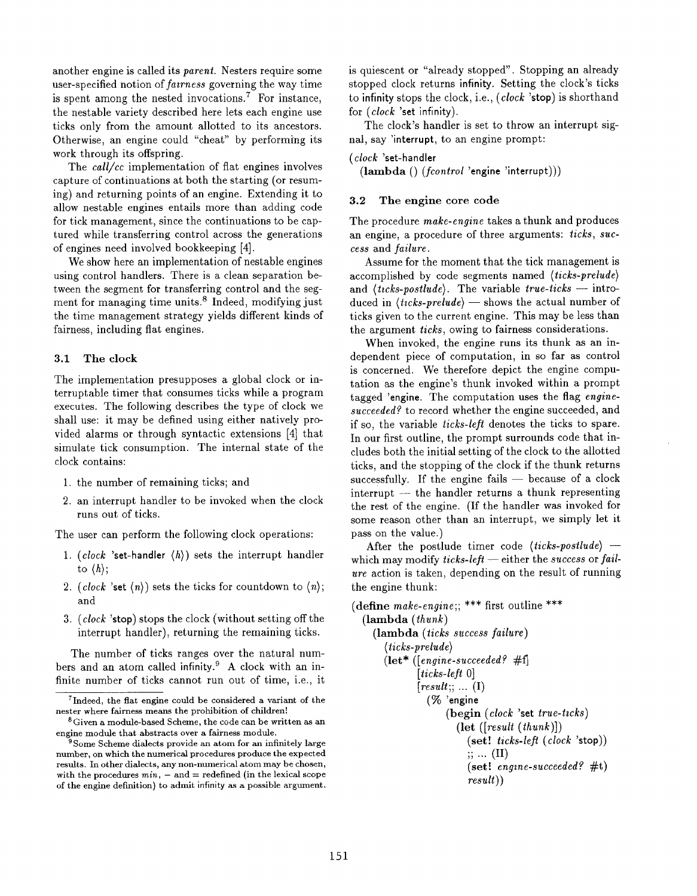another engine is called its parent. Nesters require some user-specified notion of fatrness governing the way time is spent among the nested invocations.<sup>7</sup> For instance, the nestable variety described here lets each engine use ticks only from the amount allotted to its ancestors. Otherwise, an engine could "cheat" by performing its work through its offspring.

The *call/cc* implementation of flat engines involves capture of continuations at both the starting (or resuming) and returning points of an engine. Extending it to allow nestable engines entails more than adding code for tick management, since the continuations to be captured while transferring control across the generations of engines need involved bookkeeping [4].

We show here an implementation of nestable engines using control handlers. There is a clean separation between the segment for transferring control and the segment for managing time units.<sup>8</sup> Indeed, modifying just the time management strategy yields different kinds of fairness, including flat engines.

#### 3.1 The clock

The implementation presupposes a global clock or interruptable timer that consumes ticks while a program executes. The following describes the type of clock we shall use: it may be defined using either natively provided alarms or through syntactic extensions [4] that simulate tick consumption. The internal state of the clock contains:

- 1. the number of remaining ticks; and
- 2. an interrupt handler to be invoked when the clock runs out of ticks.

The user can perform the following clock operations:

- 1. (clock 'set-handler  $\langle h \rangle$ ) sets the interrupt handler to  $\langle h \rangle$ ;
- 2. (clock 'set  $\langle n \rangle$ ) sets the ticks for countdown to  $\langle n \rangle$ ; and
- 3.  $(clock$  'stop) stops the clock (without setting off the interrupt handler), returning the remaining ticks.

The number of ticks ranges over the natural numbers and an atom called infinity.<sup>9</sup> A clock with an infinite number of ticks cannot run out of time, i.e., it is quiescent or "already stopped". Stopping an already stopped clock returns infinity. Setting the clock's ticks to infinity stops the clock, i.e.,  $(clock$  'stop) is shorthand for (clock 'set infinity).

The clock's handler is set to throw an interrupt signal, say 'interrupt, to an engine prompt:

```
(cJock 'set-handler
```
(lambda () (fcontrol 'engine 'interrupt)))

#### 3.2 The engine core code

The procedure make-engine takes a thunk and produces an engine, a procedure of three arguments: ticks, success and failure.

Assume for the moment that the tick management is accomplished by code segments named (ticks-prelude) and  $\langle \text{ticks-postulate} \rangle$ . The variable  $\text{true-ticks -- intro-}$ duced in  $\langle \text{ticks-prelude} \rangle$  — shows the actual number of ticks given to the current engine. This may be less than the argument ticks, owing to fairness considerations.

When invoked, the engine runs its thunk as an independent piece of computation, in so far as control is concerned. We therefore depict the engine computation as the engine's thunk invoked within a prompt tagged 'engine. The computation uses the flag enginesucceeded? to record whether the engine succeeded, and if so, the variable ticks-lefl denotes the ticks to spare. In our first outline, the prompt surrounds code that includes both the initial setting of the clock to the allotted ticks, and the stopping of the clock if the thunk returns successfully. If the engine fails — because of a clock interrupt — the handler returns a thunk representing the rest of the engine. (If the handler was invoked for some reason other than an interrupt, we simply let it pass on the value.)

After the postlude timer code  $\langle \text{ticks-postlude} \rangle$  – which may modify ticks-left — either the success or failure action is taken, depending on the result of running the engine thunk:

```
(define make-engine;; *** first outline ***
  (lambda (thunk)
     (lambda (ticks success failure)
        \langle \textit{ticks-prelude} \rangle(\text{let}^* \ ((\text{engine-succeeded? \#f})[ticks-left 0][result; \dots (I)](% 'engine
                       (begin (clock) set true\text{-}ticks)(\text{let } ([result (thunk)])(set! ticks-left (clock 'stop));; ... (II)
                            (set! engine-succeeded?#t)
                            result))
```
<sup>&</sup>lt;sup>7</sup>Indeed, the flat engine could be considered a variant of the nester where fairness means the prohibition of children!

<sup>&</sup>lt;sup>8</sup> Given a module-based Scheme, the code can be written as an engine module that abstracts over a fairness module.

<sup>&</sup>lt;sup>9</sup>Some Scheme dialects provide an atom for an infinitely large number, on which the numerical procedures produce the expected results. In other dialects, any non-numerical atom may be chosen, with the procedures  $min$ ,  $-$  and  $=$  redefined (in the lexical scope of the engine definition) to admit infinity as a possible argument.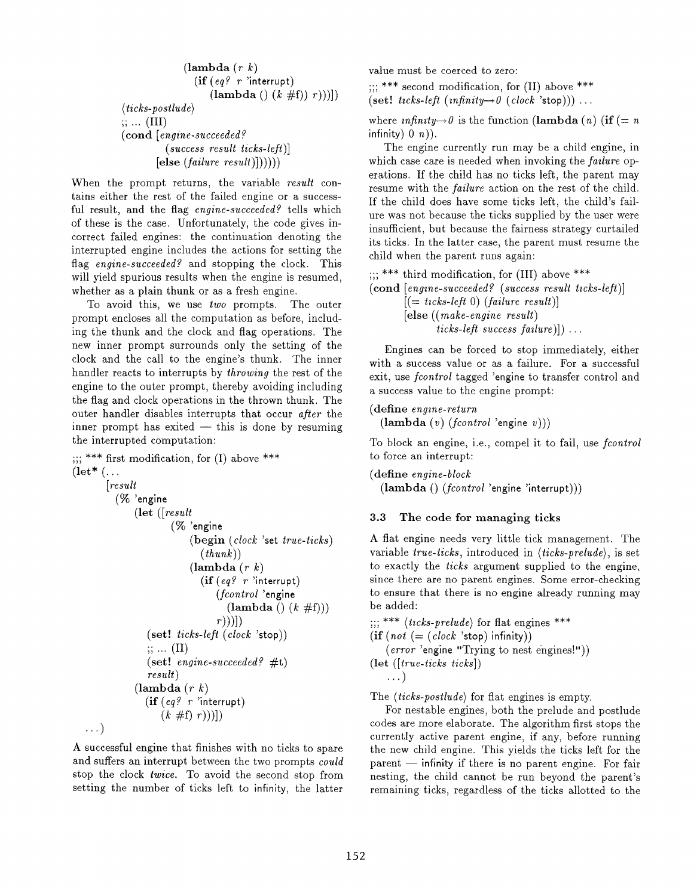```
(\text{lambda} (r k))(if (eq? r 'interrupt)
                      (\text{lambda } ()(k \# f)) r))\langle \textit{ticks-postlude} \rangle;; ... (III)
(cond [engine-succeeded?
           (success result ticks-left)]
        [else (failure result)]))
```
When the prompt returns, the variable result contains either the rest of the failed engine or a successful result, and the flag engine-succeeded? tells which of these is the case. Unfortunately, the code gives incorrect failed engines: the continuation denoting the interrupted engine includes the actions for setting the flag engine-succeeded? and stopping the clock. This will yield spurious results when the engine is resumed, whether as a plain thunk or as a fresh engine.

To avoid this, we use two prompts. The outer prompt encloses all the computation as before, including the thunk and the clock and flag operations. The new inner prompt surrounds only the setting of the clock and the call to the engine's thunk. The inner handler reacts to interrupts by throwing the rest of the engine to the outer prompt, thereby avoiding including the flag and clock operations in the thrown thunk. The outer handler disables interrupts that occur after the inner prompt has exited — this is done by resuming the interrupted computation:

```
*** first modification, for (I) above *** !)>
(\text{let}^* (...))[result](% 'engine
              (let ([resuit
                       (% 'engine
                           (begin (ciock 'set true-ticks)
                              (thunk)(\textbf{lambda}(r k))(if (eq? r 'interrupt)(for a total 'engine
                                    (\text{lambda } () (k \# f)))r)))])
                 (set! ticks-left (clock 'stop))
                 \cdots (II)
                 (set! engine-succeeded? \#t)
                 result)
              (\text{lambda} (r k))(if (eq? r'interrupt)(k \#f) (r))\ldots )
```
A successful engine that finishes with no ticks to spare and suffers an interrupt between the two prompts could stop the clock twice. To avoid the second stop from setting the number of ticks left to infinity, the latter value must be coerced to zero:

 $\gamma$  as  $\gamma$  is the modification, for (II) above  $\ast\ast$ (set! ticks-left (infinity- $\theta$  (clock 'stop))) ...

where  $\text{infinity} \rightarrow \theta$  is the function (lambda (n) (if (= n) infinity)  $0 \; n)$ ).

The engine currently run may be a child engine, in which case care is needed when invoking the *failure* operations. If the child has no ticks left, the parent may resume with the *failure* action on the rest of the child. If the child does have some ticks left, the child's failure was not because the ticks supplied by the user were insufficient, but because the fairness strategy curtailed its ticks. In the latter case, the parent must resume the child when the parent runs again:

 $\ldots$  \*\*\* third modification, for (III) above \*\*\*  $\pmb{\text{(cond [engine-succeeded? (success result ticks-left)]}}$  $[ (= ticks-left 0) (failure result)]$ [else ((make-engine result) ticks-left success failure)]) ...

Engines can be forced to stop immediately, either with a success value or as a failure. For a successful exit, use *fcontrol* tagged 'engine to transfer control and a success value to the engine prompt:

(define engine-return

 $(\textbf{lambda}(v)$   $(fcontrol \text{'engine } v))$ 

To block an engine, i.e., compel it to fail, use fcontrol to force an interrupt:

(define engine-block (lambda () (fcontrol 'engine 'interrupt)))

## 3.3 The code for managing ticks

A flat engine needs very little tick management. The variable true-ticks, introduced in (ticks-prelude), is set to exactly the ticks argument supplied to the engine, since there are no parent engines. Some error-checking to ensure that there is no engine already running may be added:

 $\ldots$  \*\*\* (ticks-prelude) for flat engines \*\*\*  $(i\mathbf{f} \text{ (not } (= (clock \text{ 'stop) infinity)})$ (error 'engine "Trying to nest engines!")) (let ([true-ticks ticks])

$$
\ldots)
$$

The  $\langle \text{ticks-postlude} \rangle$  for flat engines is empty.

For nestable engines, both the prelude and postlude codes are more elaborate. The algorithm first stops the currently active parent engine, if any, before running the new child engine. This yields the ticks left for the parent — infinity if there is no parent engine. For fair nesting, the child cannot be run beyond the parent's remaining ticks, regardless of the ticks allotted to the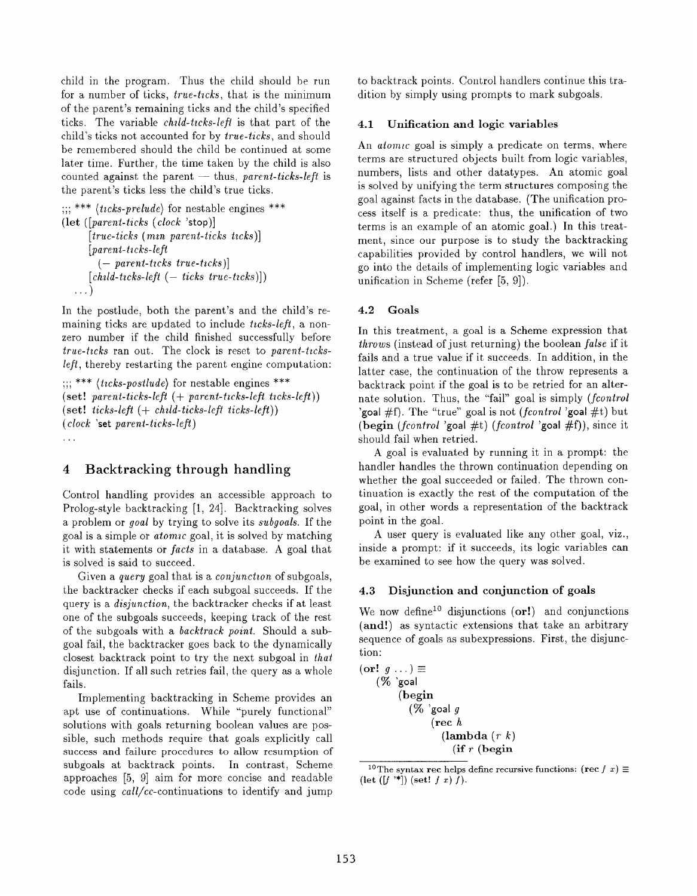child in the program. Thus the child should be run for a number of ticks, *true-ticks*, that is the minimum of the parent's remaining ticks and the child's specified ticks. The variable *child-ticks-left* is that part of the child's ticks not accounted for by true-ticks, and should be remembered should the child be continued at some later time. Further, the time taken by the child is also counted against the parent — thus, parent-ticks-left is the parent's ticks less the child's true ticks.

 $\langle \textit{ticks-prelude} \rangle$  for nestable engines  $^{**}$ (let ([parent-ticks (clock 'stop)]  $[true\text{-}ticks(mn\text{ name }x\text{-}ticksk\text{ class})]$  $[parent-ticks-left$  $(-$  parent-ticks true-ticks)  $[child\text{-}ticks\text{-}left(-\text{-}ticks\text{-}true\text{-}ticks)]$ . . . )

In the postlude, both the parent's and the child's remaining ticks are updated to include  $ticks-left$ , a nonzero number if the child finished successfully before  $true\text{-}ticks$  ran out. The clock is reset to parent-ticksleft, thereby restarting the parent engine computation:

```
\ldots *** (ticks-postlude) for nestable engines ***
(set! parent-ticks-left (+ parent-ticks-left ticks-left))
(set! ticks-left (+ \; child\text{-}ticks\text{-}left \; ticks\text{-}left))
(clock 'set parent-ticks-lefl)
. . .
```
## 4 Backtracking through handling

Control handling provides an accessible approach to Prolog-style backtracking  $[1, 24]$ . Backtracking solves a problem or goal by trying to solve its subgoals. If the goal is a simple or  $atomic$  goal, it is solved by matching it with statements or facts in a database. A goal that is solved is said to succeed.

Given a *query* goal that is a *conjunction* of subgoals, the backtracker checks if each subgoal succeeds. If the query is a disjunction, the backtracker checks if at least one of the subgoals succeeds, keeping track of the rest of the subgoals with a backtrack point. Should a subgoal fail, the backtracker goes back to the dynamically closest backtrack point to try the next subgoal in that disjunction. If all such retries fail, the query as a whole fails.

Implementing backtracking in Scheme provides an apt use of continuations. While "purely functional" solutions with goals returning boolean values are possible, such methods require that goals explicitly call success and failure procedures to allow resumption of subgoals at backtrack points. In contrast, Scheme approaches [5, 9] aim for more concise and readable code using  $call/cc$ -continuations to identify and jump

to backtrack points. Control handlers continue this tradition by simply using prompts to mark subgoals.

#### 4.1 Unification and logic variables

An *atomic* goal is simply a predicate on terms, where terms are structured objects built from logic variables, numbers, lists and other datatypes. An atomic goal is solved by unifying the term structures composing the goal against facts in the database. (The unification process itself is a predicate: thus, the unification of two terms is an example of an atomic goal. ) In this treatment, since our purpose is to study the backtracking capabilities provided by control handlers, we will not go into the details of implementing logic variables and unification in Scheme (refer [5, 9]).

#### 4.2 Goals

In this treatment, a goal is a Scheme expression that  $throws$  (instead of just returning) the boolean *false* if it fails and a true value if it succeeds. In addition, in the latter case, the continuation of the throw represents a backtrack point if the goal is to be retried for an alternate solution. Thus, the "fail" goal is simply  $(fcontrol)$ 'goal #f). The "true" goal is not (fcontrol 'goal #t) but (begin (fcontrol 'goal #t) (fcontrol 'goal #f)), since it should fail when retried.

A goal is evaluated by running it in a prompt: the handler handles the thrown continuation depending on whether the goal succeeded or failed. The thrown continuation is exactly the rest of the computation of the goal, in other words a representation of the backtrack point in the goal.

A user query is evaluated like any other goal, viz., inside a prompt: if it succeeds, its logic variables can be examined to see how the query was solved.

#### 4.3 Disjunction and conjunction of goals

We now define<sup>10</sup> disjunctions  $(or!)$  and conjunctions (and!) as syntactic extensions that take an arbitrary sequence of goals as subexpressions. First, the disjunction:

```
(\text{or}! q \dots) \equiv(% \dot{\%} goal
              (begin
                  (\% 'goal g
                          (\text{rec } h(\textbf{lambda}(r k))\left( \text{if } r \text{ (begin)} \right)
```
<sup>&</sup>lt;sup>10</sup>The syntax rec helps define recursive functions: (rec f x)  $\equiv$  $(\text{let } ([f^{\ast *}]) \text{ (set! } f x) f).$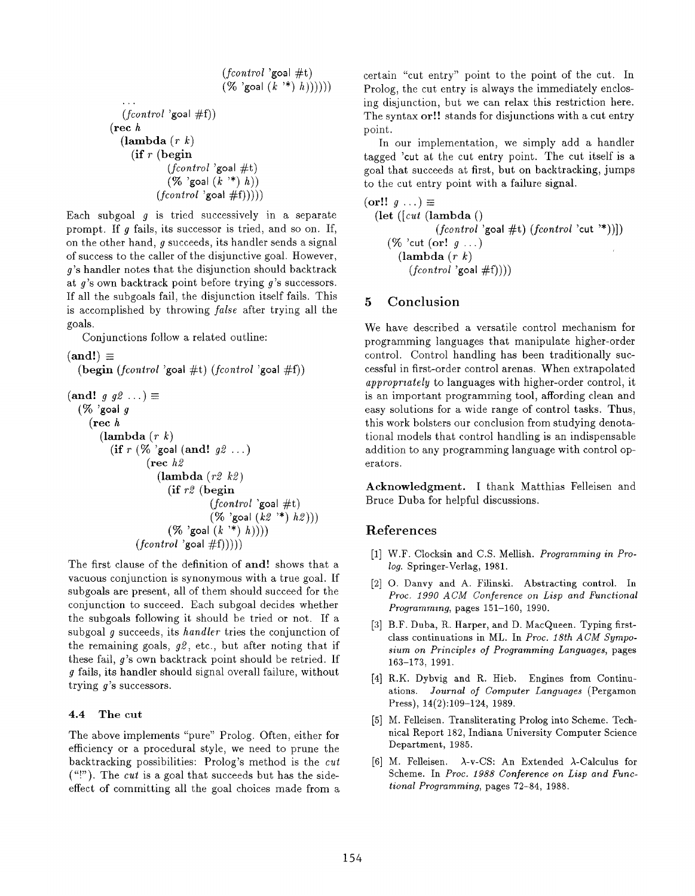$$
\begin{array}{c}\n\text{(fontrol 'goal #t)} \\
(\% \text{'goal (k '*) h)))))} \\
...\n\text{(fontrol 'goal #f)}) \\
(\text{rec } h \\
(\text{lambda (r } k) \\
(\text{if } r \text{ (begin)} \\
(\% \text{'goal #t}) \\
(\% \text{'goal (k '*) h})) \\
(\text{fontrol 'goal #f)})))\n\end{array}
$$

Each subgoal  $g$  is tried successively in a separate prompt. If  $q$  fails, its successor is tried, and so on. If, on the other hand,  $g$  succeeds, its handler sends a signal of success to the caller of the disjunctive goal. However, g's handler notes that the disjunction should backtrack at g's own backtrack point before trying g's successors. If all the subgoals fail, the disjunction itself fails. This is accomplished by throwing false after trying all the goals.

Conjunctions follow a related outline:

 $(and!) \equiv$ 

 $(\text{begin } (formatrol \text{'goal } #t) (formatrol \text{'goal } #f))$ 

```
(\text{and}! g g2 ...)\equiv(\% 'goal g
     (\text{rec } h)(\textbf{lambda}(r k))(if r (% 'goal (and! g2...)
                     (rec h 2
                        (\text{lambda} (r2 \text{ } k2))(if r2 (begin
                                      (fcontrol \text{ 'goal } \# t)(% 'goal (k2 '*) h2)))
                           (\% 'goal (k^{*\ast}) h))))
                  (fcontrol \text{ 'goal }\#f))))
```
The first clause of the definition of and! shows that a vacuous conjunction is synonymous with a true goal. If subgoals are present, all of them should succeed for the conjunction to succeed. Each subgoal decides whether the subgoals following it should be tried or not. If a subgoal g succeeds, its handler tries the conjunction of the remaining goals,  $g\mathcal{Q}$ , etc., but after noting that if these fail, g's own backtrack point should be retried. If g fails, its handler should signal overall failure, without trying g's successors.

#### 4.4 The cut

The above implements "pure" Prolog. Often, either for efficiency or a procedural style, we need to prune the backtracking possibilities: Prolog's method is the cut  $($ "!"). The *cut* is a goal that succeeds but has the sideeffect of committing all the goal choices made from a certain "cut entry" point to the point of the cut. In Prolog, the cut entry is always the immediately enclosing disjunction, but we can relax this restriction here. The syntax or!! stands for disjunctions with a cut entry point.

In our implementation, we simply add a handler tagged 'cut at the cut entry point. The cut itself is a goal that succeeds at first, but on backtracking, jumps to the cut entry point with a failure signal.

```
(\text{or}!! g \dots) \equiv(let ([cut (lambda ()
                    (fcontrol \geq) \neq \{fcontrol \text{'cut } \leq \text{)}\})(\% 'cut (or! g \dots)
         (\text{lambda} (r k))(fcontrol \text{'goal } \#f))))
```
## 5 Conclusion

We have described a versatile control mechanism for programming languages that manipulate higher-order control. Control handling has been traditionally successful in first-order control arenas. When extrapolated appropriately to languages with higher-order control, it is an important programming tool, affording clean and easy solutions for a wide range of control tasks. Thus, this work bolsters our conclusion from studying denotational models that control handling is an indispensable addition to any programming language with control operators.

Acknowledgment. I thank Matthias Felleisen and Bruce Duba for helpful discussions.

## References

- [1] W.F. Clocksin and C.S. Mellish. Programming in Prolog. Springer-Verlag, 1981.
- 2 O. Danvy and A. Filinski. Abstracting control. In Proc. 1990 ACM Conference on Lisp and Functional Programming, pages 151-160, 1990.
- [3] B.F. Duba, R. Harper, and D. MacQueen. Typing firstclass continuations in ML. In Proc. 18th ACM Symposium on Principles of Programming Languages, pages 163-173, 1991.
- [4] R.K. Dybvig and R. Hieb. Engines from Contin ations. Journal of Computer Languages (Pergamon Press), 14(2):109-124, 1989.
- [5] M. Felleisen. Transliterating Prolog into Scheme. Tech nical Report 182, Indiana University Computer Science Department, 1985.
- $|6|$  M. Felleisen.  $\lambda$ -v-CS: An Extended  $\lambda$ -Calculus for Scheme. In Proc. 1988 Conference on Lisp and Functional Programming, pages 72-84, 1988.